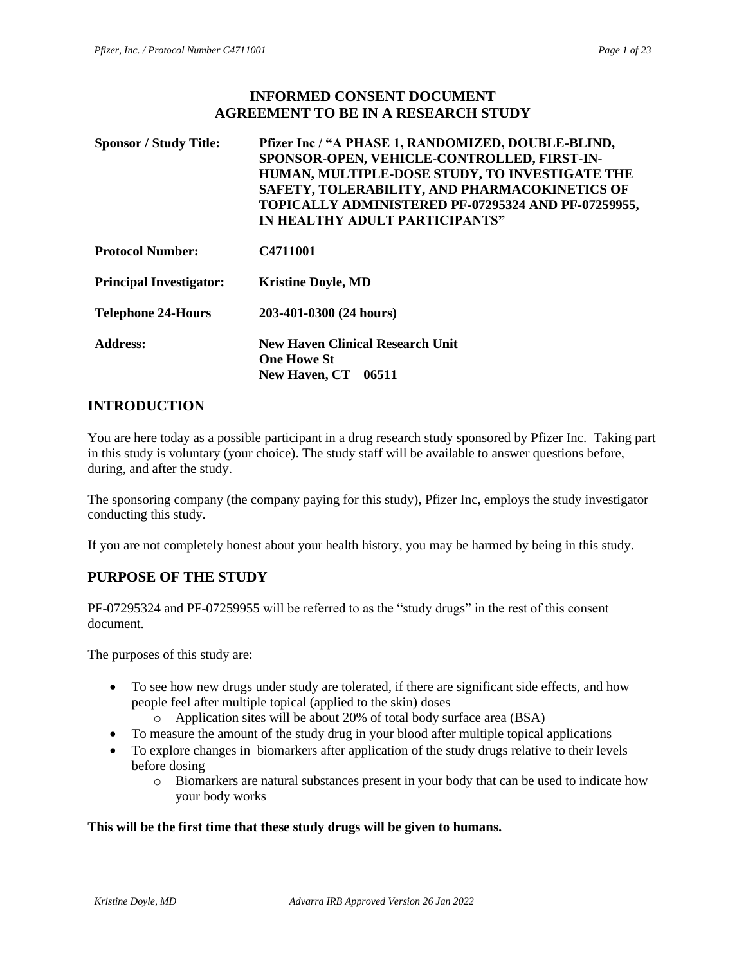### **INFORMED CONSENT DOCUMENT AGREEMENT TO BE IN A RESEARCH STUDY**

| <b>Sponsor / Study Title:</b>  | Pfizer Inc / "A PHASE 1, RANDOMIZED, DOUBLE-BLIND,<br>SPONSOR-OPEN, VEHICLE-CONTROLLED, FIRST-IN-<br>HUMAN, MULTIPLE-DOSE STUDY, TO INVESTIGATE THE<br>SAFETY, TOLERABILITY, AND PHARMACOKINETICS OF<br>TOPICALLY ADMINISTERED PF-07295324 AND PF-07259955,<br>IN HEALTHY ADULT PARTICIPANTS" |
|--------------------------------|-----------------------------------------------------------------------------------------------------------------------------------------------------------------------------------------------------------------------------------------------------------------------------------------------|
| <b>Protocol Number:</b>        | C4711001                                                                                                                                                                                                                                                                                      |
| <b>Principal Investigator:</b> | <b>Kristine Doyle, MD</b>                                                                                                                                                                                                                                                                     |
| <b>Telephone 24-Hours</b>      | 203-401-0300 (24 hours)                                                                                                                                                                                                                                                                       |
| <b>Address:</b>                | <b>New Haven Clinical Research Unit</b><br><b>One Howe St</b><br><b>New Haven, CT</b><br>06511                                                                                                                                                                                                |

# **INTRODUCTION**

You are here today as a possible participant in a drug research study sponsored by Pfizer Inc. Taking part in this study is voluntary (your choice). The study staff will be available to answer questions before, during, and after the study.

The sponsoring company (the company paying for this study), Pfizer Inc, employs the study investigator conducting this study.

If you are not completely honest about your health history, you may be harmed by being in this study.

# **PURPOSE OF THE STUDY**

PF-07295324 and PF-07259955 will be referred to as the "study drugs" in the rest of this consent document.

The purposes of this study are:

- To see how new drugs under study are tolerated, if there are significant side effects, and how people feel after multiple topical (applied to the skin) doses
	- o Application sites will be about 20% of total body surface area (BSA)
- To measure the amount of the study drug in your blood after multiple topical applications
- To explore changes in biomarkers after application of the study drugs relative to their levels before dosing
	- o Biomarkers are natural substances present in your body that can be used to indicate how your body works

#### **This will be the first time that these study drugs will be given to humans.**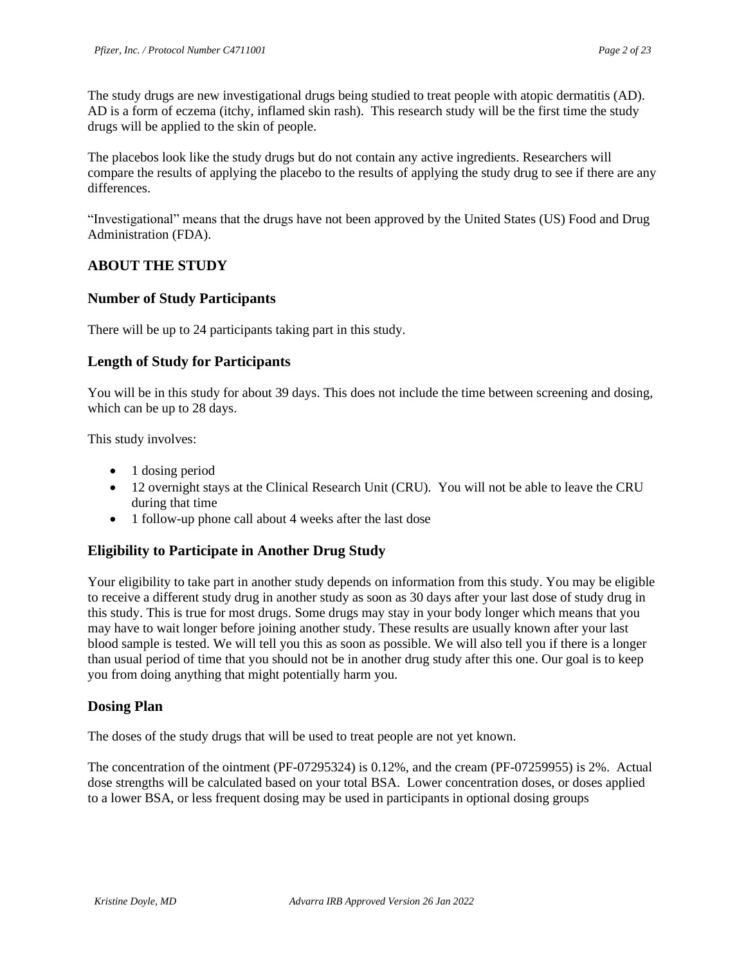The study drugs are new investigational drugs being studied to treat people with atopic dermatitis (AD). AD is a form of eczema (itchy, inflamed skin rash). This research study will be the first time the study drugs will be applied to the skin of people.

The placebos look like the study drugs but do not contain any active ingredients. Researchers will compare the results of applying the placebo to the results of applying the study drug to see if there are any differences.

"Investigational" means that the drugs have not been approved by the United States (US) Food and Drug Administration (FDA).

# **ABOUT THE STUDY**

### **Number of Study Participants**

There will be up to 24 participants taking part in this study.

### **Length of Study for Participants**

You will be in this study for about 39 days. This does not include the time between screening and dosing, which can be up to 28 days.

This study involves:

- 1 dosing period
- 12 overnight stays at the Clinical Research Unit (CRU). You will not be able to leave the CRU during that time
- 1 follow-up phone call about 4 weeks after the last dose

### **Eligibility to Participate in Another Drug Study**

Your eligibility to take part in another study depends on information from this study. You may be eligible to receive a different study drug in another study as soon as 30 days after your last dose of study drug in this study. This is true for most drugs. Some drugs may stay in your body longer which means that you may have to wait longer before joining another study. These results are usually known after your last blood sample is tested. We will tell you this as soon as possible. We will also tell you if there is a longer than usual period of time that you should not be in another drug study after this one. Our goal is to keep you from doing anything that might potentially harm you.

#### **Dosing Plan**

The doses of the study drugs that will be used to treat people are not yet known.

The concentration of the ointment (PF-07295324) is 0.12%, and the cream (PF-07259955) is 2%. Actual dose strengths will be calculated based on your total BSA. Lower concentration doses, or doses applied to a lower BSA, or less frequent dosing may be used in participants in optional dosing groups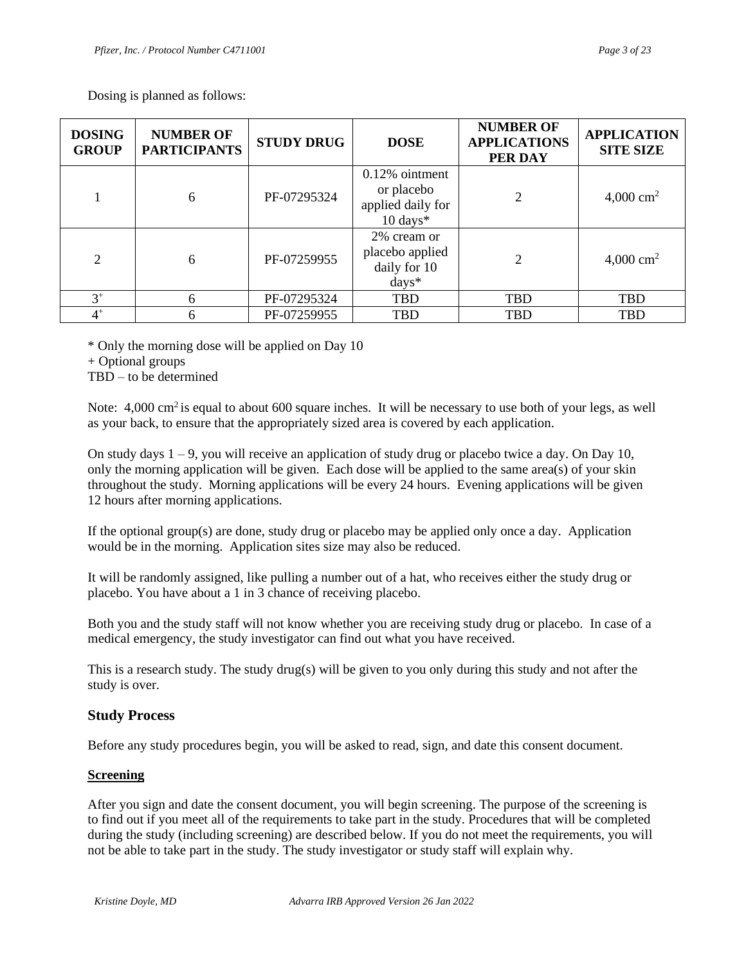Dosing is planned as follows:

| <b>DOSING</b><br><b>GROUP</b> | <b>NUMBER OF</b><br><b>PARTICIPANTS</b> | <b>STUDY DRUG</b> | <b>DOSE</b>                                                                 | <b>NUMBER OF</b><br><b>APPLICATIONS</b><br>PER DAY | <b>APPLICATION</b><br><b>SITE SIZE</b> |
|-------------------------------|-----------------------------------------|-------------------|-----------------------------------------------------------------------------|----------------------------------------------------|----------------------------------------|
|                               | 6                                       | PF-07295324       | $0.12\%$ ointment<br>or placebo<br>applied daily for<br>$10 \text{ days}$ * |                                                    | 4,000 $\text{cm}^2$                    |
| $\overline{2}$                | 6                                       | PF-07259955       | 2% cream or<br>placebo applied<br>daily for 10<br>$\frac{days^*}{x^*}$      | 2                                                  | 4,000 $\text{cm}^2$                    |
| $3^+$                         | 6                                       | PF-07295324       | <b>TBD</b>                                                                  | <b>TBD</b>                                         | <b>TBD</b>                             |
| $4^+$                         | 6                                       | PF-07259955       | <b>TBD</b>                                                                  | <b>TBD</b>                                         | <b>TBD</b>                             |

\* Only the morning dose will be applied on Day 10

+ Optional groups

TBD – to be determined

Note: 4,000 cm<sup>2</sup> is equal to about 600 square inches. It will be necessary to use both of your legs, as well as your back, to ensure that the appropriately sized area is covered by each application.

On study days  $1 - 9$ , you will receive an application of study drug or placebo twice a day. On Day 10, only the morning application will be given. Each dose will be applied to the same area(s) of your skin throughout the study. Morning applications will be every 24 hours. Evening applications will be given 12 hours after morning applications.

If the optional group(s) are done, study drug or placebo may be applied only once a day. Application would be in the morning. Application sites size may also be reduced.

It will be randomly assigned, like pulling a number out of a hat, who receives either the study drug or placebo. You have about a 1 in 3 chance of receiving placebo.

Both you and the study staff will not know whether you are receiving study drug or placebo. In case of a medical emergency, the study investigator can find out what you have received.

This is a research study. The study drug(s) will be given to you only during this study and not after the study is over.

### **Study Process**

Before any study procedures begin, you will be asked to read, sign, and date this consent document.

### **Screening**

After you sign and date the consent document, you will begin screening. The purpose of the screening is to find out if you meet all of the requirements to take part in the study. Procedures that will be completed during the study (including screening) are described below. If you do not meet the requirements, you will not be able to take part in the study. The study investigator or study staff will explain why.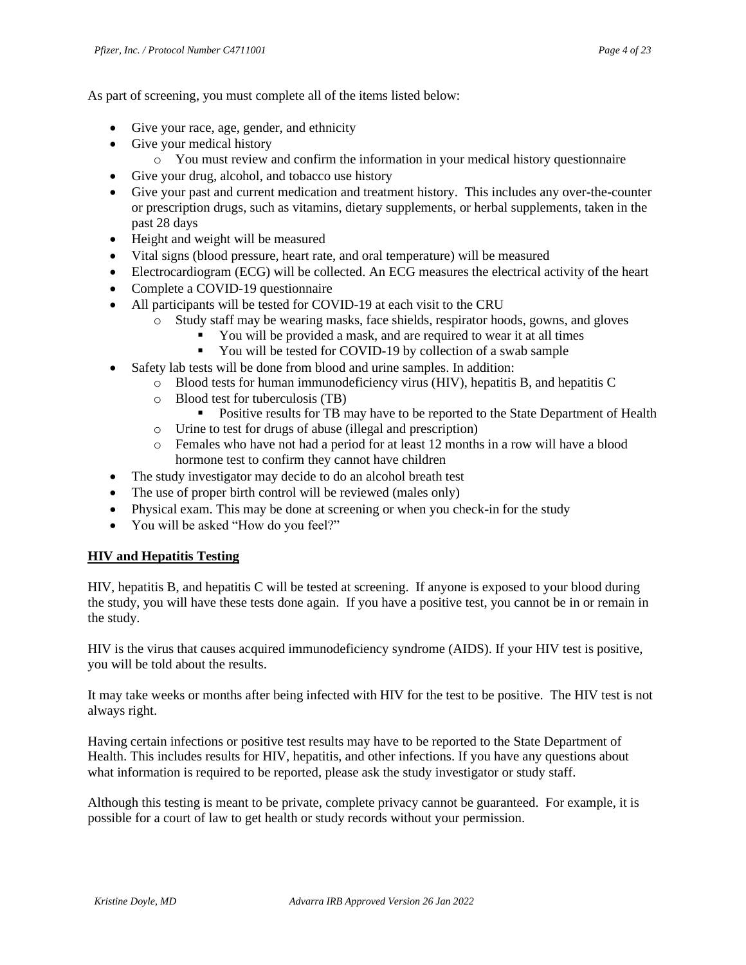As part of screening, you must complete all of the items listed below:

- Give your race, age, gender, and ethnicity
- Give your medical history
	- o You must review and confirm the information in your medical history questionnaire
- Give your drug, alcohol, and tobacco use history
- Give your past and current medication and treatment history. This includes any over-the-counter or prescription drugs, such as vitamins, dietary supplements, or herbal supplements, taken in the past 28 days
- Height and weight will be measured
- Vital signs (blood pressure, heart rate, and oral temperature) will be measured
- Electrocardiogram (ECG) will be collected. An ECG measures the electrical activity of the heart
- Complete a COVID-19 questionnaire
- All participants will be tested for COVID-19 at each visit to the CRU
	- o Study staff may be wearing masks, face shields, respirator hoods, gowns, and gloves
		- You will be provided a mask, and are required to wear it at all times
		- You will be tested for COVID-19 by collection of a swab sample
- Safety lab tests will be done from blood and urine samples. In addition:
	- o Blood tests for human immunodeficiency virus (HIV), hepatitis B, and hepatitis C
	- o Blood test for tuberculosis (TB)
		- **•** Positive results for TB may have to be reported to the State Department of Health
	- o Urine to test for drugs of abuse (illegal and prescription)
	- o Females who have not had a period for at least 12 months in a row will have a blood hormone test to confirm they cannot have children
- The study investigator may decide to do an alcohol breath test
- The use of proper birth control will be reviewed (males only)
- Physical exam. This may be done at screening or when you check-in for the study
- You will be asked "How do you feel?"

#### **HIV and Hepatitis Testing**

HIV, hepatitis B, and hepatitis C will be tested at screening. If anyone is exposed to your blood during the study, you will have these tests done again. If you have a positive test, you cannot be in or remain in the study.

HIV is the virus that causes acquired immunodeficiency syndrome (AIDS). If your HIV test is positive, you will be told about the results.

It may take weeks or months after being infected with HIV for the test to be positive. The HIV test is not always right.

Having certain infections or positive test results may have to be reported to the State Department of Health. This includes results for HIV, hepatitis, and other infections. If you have any questions about what information is required to be reported, please ask the study investigator or study staff.

Although this testing is meant to be private, complete privacy cannot be guaranteed. For example, it is possible for a court of law to get health or study records without your permission.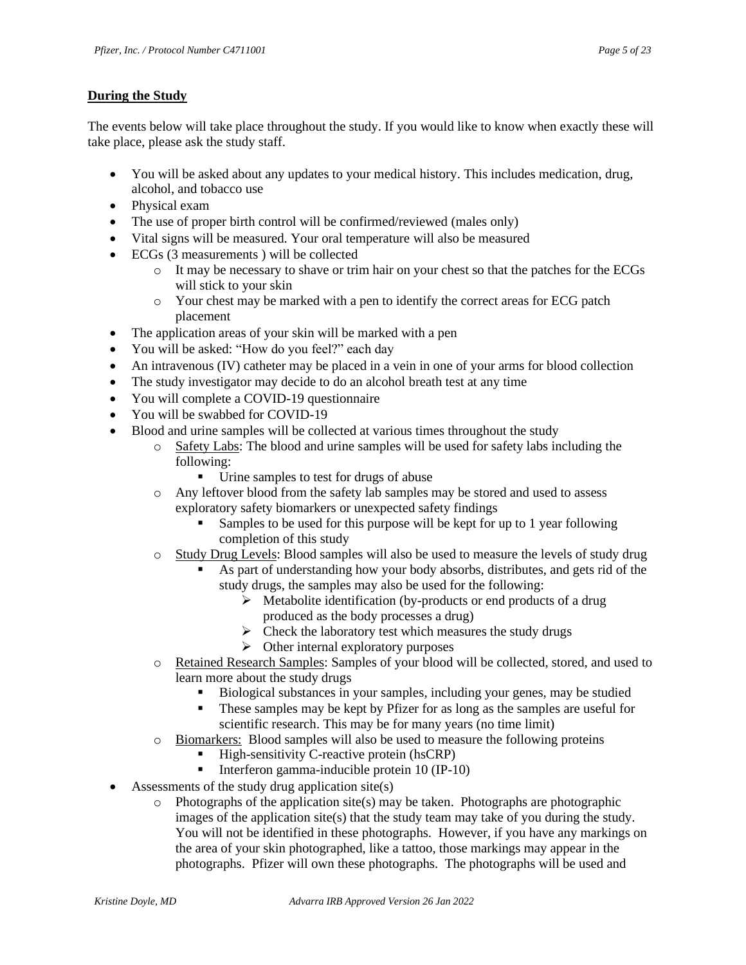#### **During the Study**

The events below will take place throughout the study. If you would like to know when exactly these will take place, please ask the study staff.

- You will be asked about any updates to your medical history. This includes medication, drug, alcohol, and tobacco use
- Physical exam
- The use of proper birth control will be confirmed/reviewed (males only)
- Vital signs will be measured. Your oral temperature will also be measured
- ECGs (3 measurements ) will be collected
	- o It may be necessary to shave or trim hair on your chest so that the patches for the ECGs will stick to your skin
	- o Your chest may be marked with a pen to identify the correct areas for ECG patch placement
- The application areas of your skin will be marked with a pen
- You will be asked: "How do you feel?" each day
- An intravenous (IV) catheter may be placed in a vein in one of your arms for blood collection
- The study investigator may decide to do an alcohol breath test at any time
- You will complete a COVID-19 questionnaire
- You will be swabbed for COVID-19
- Blood and urine samples will be collected at various times throughout the study
	- o Safety Labs: The blood and urine samples will be used for safety labs including the following:
		- Urine samples to test for drugs of abuse
	- o Any leftover blood from the safety lab samples may be stored and used to assess exploratory safety biomarkers or unexpected safety findings
		- Samples to be used for this purpose will be kept for up to 1 year following completion of this study
	- o Study Drug Levels: Blood samples will also be used to measure the levels of study drug
		- As part of understanding how your body absorbs, distributes, and gets rid of the study drugs, the samples may also be used for the following:
			- ➢ Metabolite identification (by-products or end products of a drug produced as the body processes a drug)
			- $\triangleright$  Check the laboratory test which measures the study drugs
			- ➢ Other internal exploratory purposes
	- o Retained Research Samples: Samples of your blood will be collected, stored, and used to learn more about the study drugs
		- Biological substances in your samples, including your genes, may be studied
		- These samples may be kept by Pfizer for as long as the samples are useful for scientific research. This may be for many years (no time limit)
	- o Biomarkers: Blood samples will also be used to measure the following proteins
		- High-sensitivity C-reactive protein (hsCRP)
		- Interferon gamma-inducible protein 10 (IP-10)
- Assessments of the study drug application site(s)
	- $\circ$  Photographs of the application site(s) may be taken. Photographs are photographic images of the application site(s) that the study team may take of you during the study. You will not be identified in these photographs. However, if you have any markings on the area of your skin photographed, like a tattoo, those markings may appear in the photographs. Pfizer will own these photographs. The photographs will be used and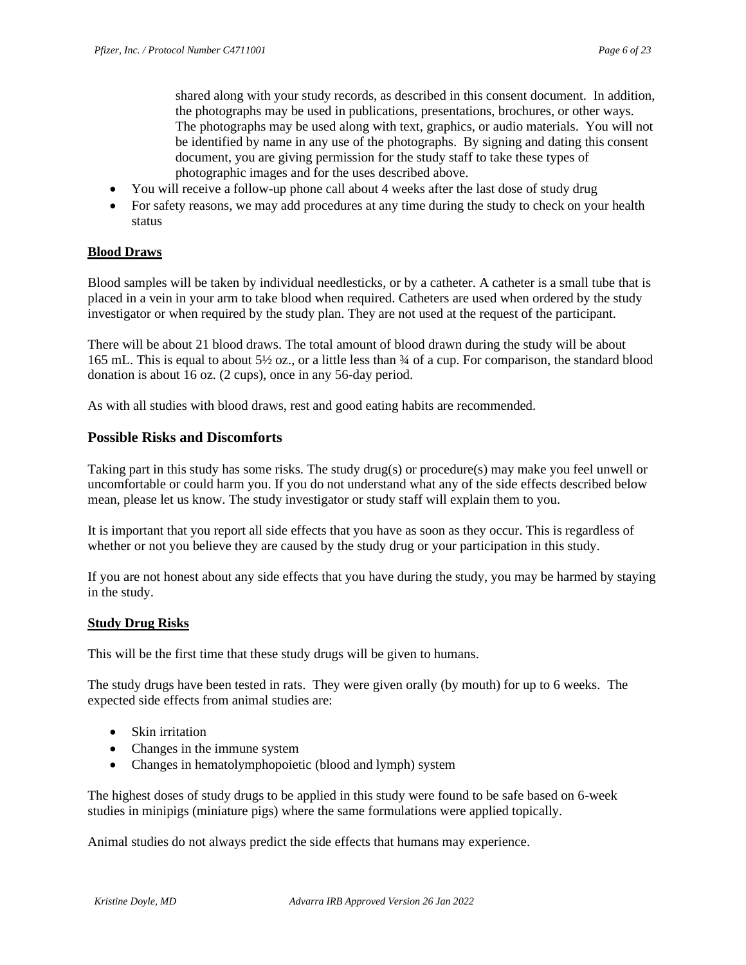shared along with your study records, as described in this consent document. In addition, the photographs may be used in publications, presentations, brochures, or other ways. The photographs may be used along with text, graphics, or audio materials. You will not be identified by name in any use of the photographs. By signing and dating this consent document, you are giving permission for the study staff to take these types of photographic images and for the uses described above.

- You will receive a follow-up phone call about 4 weeks after the last dose of study drug
- For safety reasons, we may add procedures at any time during the study to check on your health status

### **Blood Draws**

Blood samples will be taken by individual needlesticks, or by a catheter. A catheter is a small tube that is placed in a vein in your arm to take blood when required. Catheters are used when ordered by the study investigator or when required by the study plan. They are not used at the request of the participant.

There will be about 21 blood draws. The total amount of blood drawn during the study will be about 165 mL. This is equal to about 5½ oz., or a little less than ¾ of a cup. For comparison, the standard blood donation is about 16 oz. (2 cups), once in any 56-day period.

As with all studies with blood draws, rest and good eating habits are recommended.

#### **Possible Risks and Discomforts**

Taking part in this study has some risks. The study drug(s) or procedure(s) may make you feel unwell or uncomfortable or could harm you. If you do not understand what any of the side effects described below mean, please let us know. The study investigator or study staff will explain them to you.

It is important that you report all side effects that you have as soon as they occur. This is regardless of whether or not you believe they are caused by the study drug or your participation in this study.

If you are not honest about any side effects that you have during the study, you may be harmed by staying in the study.

#### **Study Drug Risks**

This will be the first time that these study drugs will be given to humans.

The study drugs have been tested in rats. They were given orally (by mouth) for up to 6 weeks. The expected side effects from animal studies are:

- Skin irritation
- Changes in the immune system
- Changes in hematolymphopoietic (blood and lymph) system

The highest doses of study drugs to be applied in this study were found to be safe based on 6-week studies in minipigs (miniature pigs) where the same formulations were applied topically.

Animal studies do not always predict the side effects that humans may experience.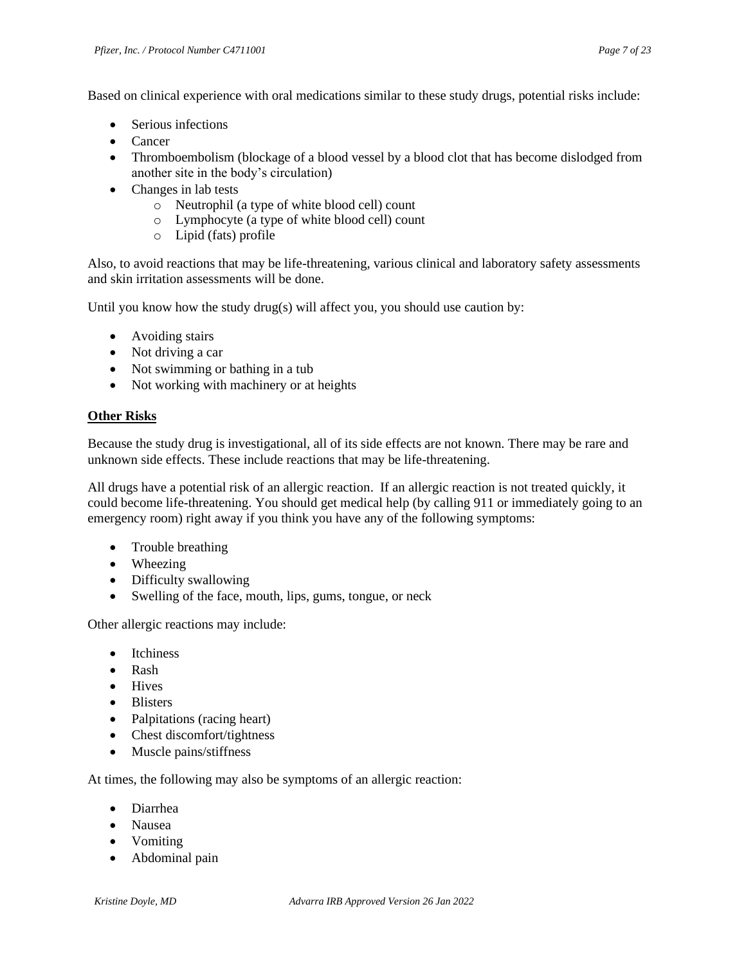Based on clinical experience with oral medications similar to these study drugs, potential risks include:

- Serious infections
- Cancer
- Thromboembolism (blockage of a blood vessel by a blood clot that has become dislodged from another site in the body's circulation)
- Changes in lab tests
	- o Neutrophil (a type of white blood cell) count
	- o Lymphocyte (a type of white blood cell) count
	- o Lipid (fats) profile

Also, to avoid reactions that may be life-threatening, various clinical and laboratory safety assessments and skin irritation assessments will be done.

Until you know how the study drug(s) will affect you*,* you should use caution by:

- Avoiding stairs
- Not driving a car
- Not swimming or bathing in a tub
- Not working with machinery or at heights

#### **Other Risks**

Because the study drug is investigational, all of its side effects are not known. There may be rare and unknown side effects. These include reactions that may be life-threatening.

All drugs have a potential risk of an allergic reaction. If an allergic reaction is not treated quickly, it could become life-threatening. You should get medical help (by calling 911 or immediately going to an emergency room) right away if you think you have any of the following symptoms:

- Trouble breathing
- Wheezing
- Difficulty swallowing
- Swelling of the face, mouth, lips, gums, tongue, or neck

Other allergic reactions may include:

- Itchiness
- Rash
- Hives
- Blisters
- Palpitations (racing heart)
- Chest discomfort/tightness
- Muscle pains/stiffness

At times, the following may also be symptoms of an allergic reaction:

- Diarrhea
- Nausea
- Vomiting
- Abdominal pain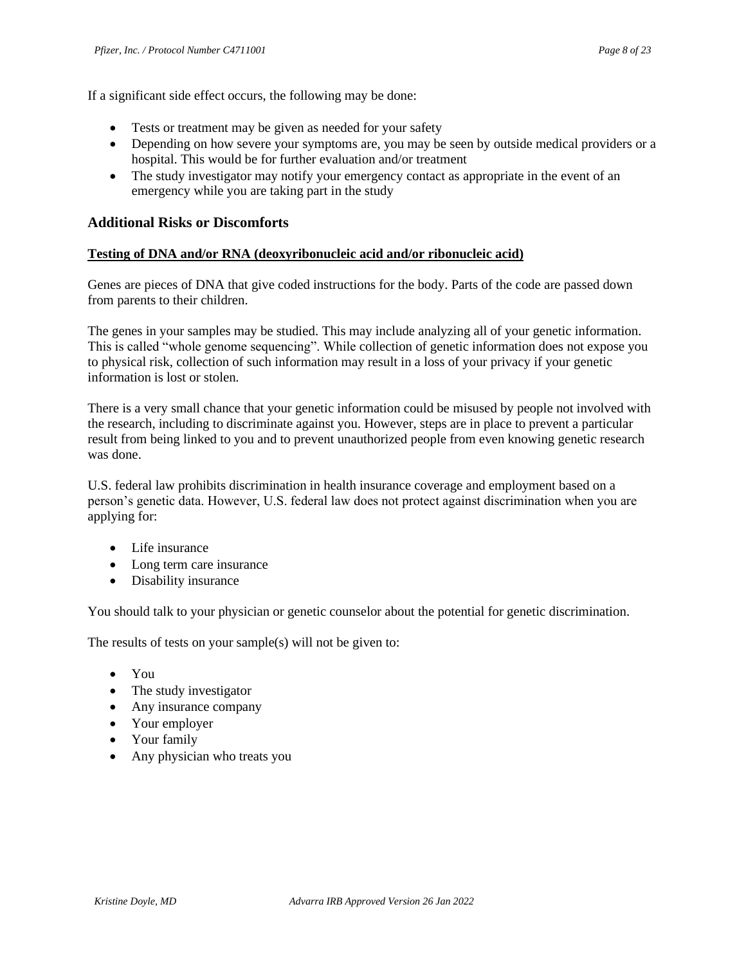If a significant side effect occurs, the following may be done:

- Tests or treatment may be given as needed for your safety
- Depending on how severe your symptoms are, you may be seen by outside medical providers or a hospital. This would be for further evaluation and/or treatment
- The study investigator may notify your emergency contact as appropriate in the event of an emergency while you are taking part in the study

#### **Additional Risks or Discomforts**

#### **Testing of DNA and/or RNA (deoxyribonucleic acid and/or ribonucleic acid)**

Genes are pieces of DNA that give coded instructions for the body. Parts of the code are passed down from parents to their children.

The genes in your samples may be studied. This may include analyzing all of your genetic information. This is called "whole genome sequencing". While collection of genetic information does not expose you to physical risk, collection of such information may result in a loss of your privacy if your genetic information is lost or stolen.

There is a very small chance that your genetic information could be misused by people not involved with the research, including to discriminate against you. However, steps are in place to prevent a particular result from being linked to you and to prevent unauthorized people from even knowing genetic research was done.

U.S. federal law prohibits discrimination in health insurance coverage and employment based on a person's genetic data. However, U.S. federal law does not protect against discrimination when you are applying for:

- Life insurance
- Long term care insurance
- Disability insurance

You should talk to your physician or genetic counselor about the potential for genetic discrimination.

The results of tests on your sample(s) will not be given to:

- You
- The study investigator
- Any insurance company
- Your employer
- Your family
- Any physician who treats you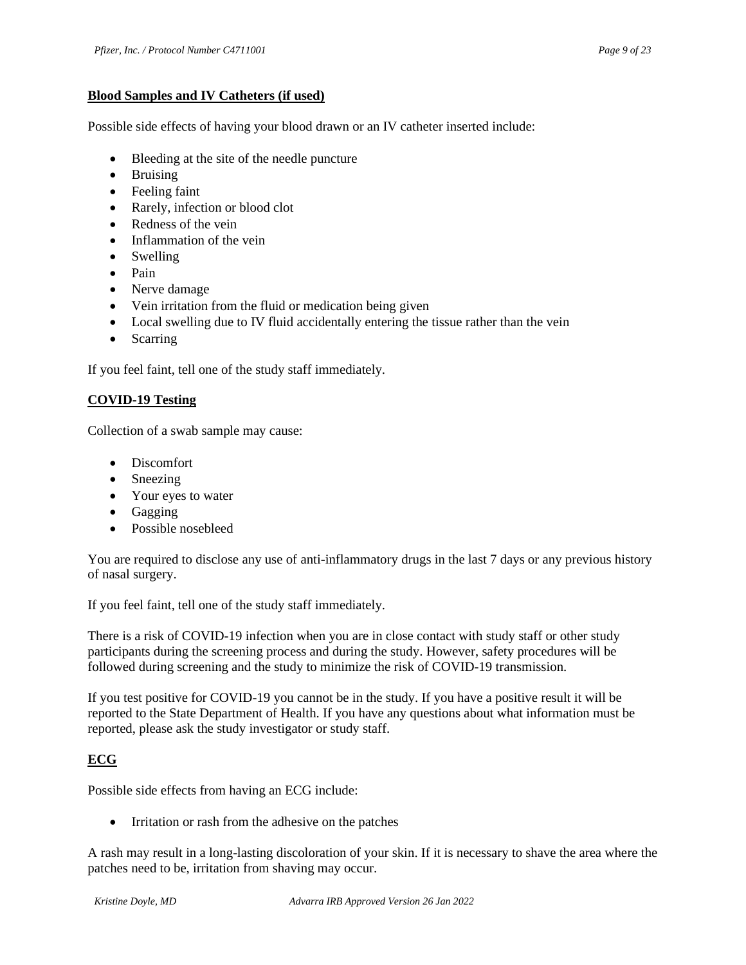#### **Blood Samples and IV Catheters (if used)**

Possible side effects of having your blood drawn or an IV catheter inserted include:

- Bleeding at the site of the needle puncture
- Bruising
- Feeling faint
- Rarely, infection or blood clot
- Redness of the vein
- Inflammation of the vein
- Swelling
- Pain
- Nerve damage
- Vein irritation from the fluid or medication being given
- Local swelling due to IV fluid accidentally entering the tissue rather than the vein
- Scarring

If you feel faint, tell one of the study staff immediately.

### **COVID-19 Testing**

Collection of a swab sample may cause:

- Discomfort
- Sneezing
- Your eyes to water
- Gagging
- Possible nosebleed

You are required to disclose any use of anti-inflammatory drugs in the last 7 days or any previous history of nasal surgery.

If you feel faint, tell one of the study staff immediately.

There is a risk of COVID-19 infection when you are in close contact with study staff or other study participants during the screening process and during the study. However, safety procedures will be followed during screening and the study to minimize the risk of COVID-19 transmission.

If you test positive for COVID-19 you cannot be in the study. If you have a positive result it will be reported to the State Department of Health. If you have any questions about what information must be reported, please ask the study investigator or study staff.

### **ECG**

Possible side effects from having an ECG include:

• Irritation or rash from the adhesive on the patches

A rash may result in a long-lasting discoloration of your skin. If it is necessary to shave the area where the patches need to be, irritation from shaving may occur.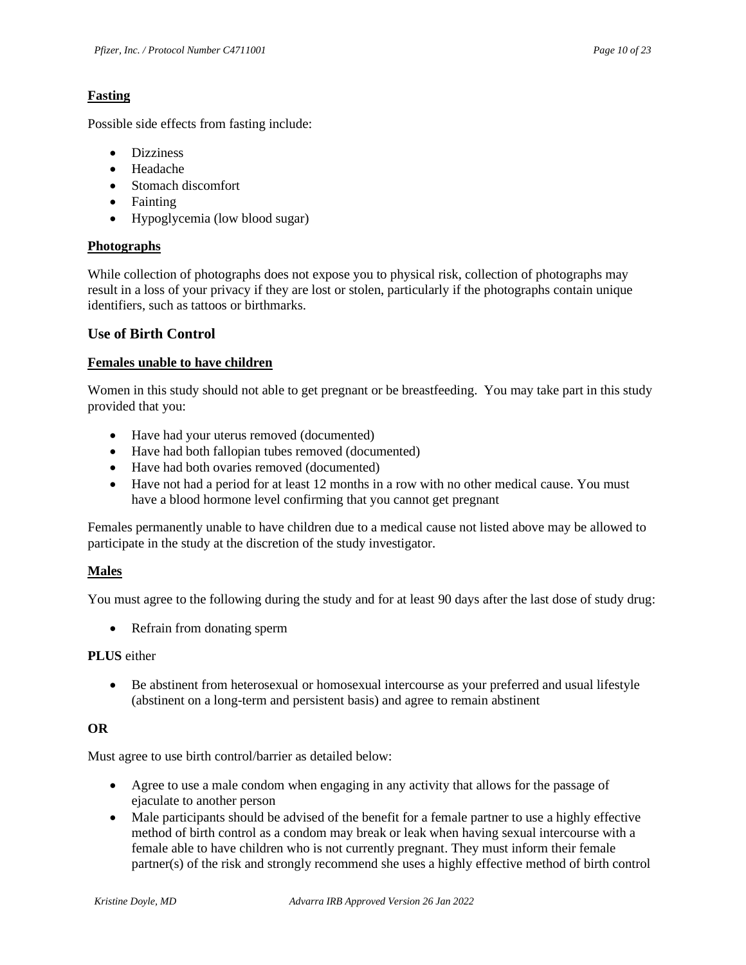### **Fasting**

Possible side effects from fasting include:

- Dizziness
- Headache
- Stomach discomfort
- Fainting
- Hypoglycemia (low blood sugar)

### **Photographs**

While collection of photographs does not expose you to physical risk, collection of photographs may result in a loss of your privacy if they are lost or stolen, particularly if the photographs contain unique identifiers, such as tattoos or birthmarks.

### **Use of Birth Control**

### **Females unable to have children**

Women in this study should not able to get pregnant or be breastfeeding. You may take part in this study provided that you:

- Have had your uterus removed (documented)
- Have had both fallopian tubes removed (documented)
- Have had both ovaries removed (documented)
- Have not had a period for at least 12 months in a row with no other medical cause. You must have a blood hormone level confirming that you cannot get pregnant

Females permanently unable to have children due to a medical cause not listed above may be allowed to participate in the study at the discretion of the study investigator.

### **Males**

You must agree to the following during the study and for at least 90 days after the last dose of study drug:

• Refrain from donating sperm

### **PLUS** either

• Be abstinent from heterosexual or homosexual intercourse as your preferred and usual lifestyle (abstinent on a long-term and persistent basis) and agree to remain abstinent

### **OR**

Must agree to use birth control/barrier as detailed below:

- Agree to use a male condom when engaging in any activity that allows for the passage of ejaculate to another person
- Male participants should be advised of the benefit for a female partner to use a highly effective method of birth control as a condom may break or leak when having sexual intercourse with a female able to have children who is not currently pregnant. They must inform their female partner(s) of the risk and strongly recommend she uses a highly effective method of birth control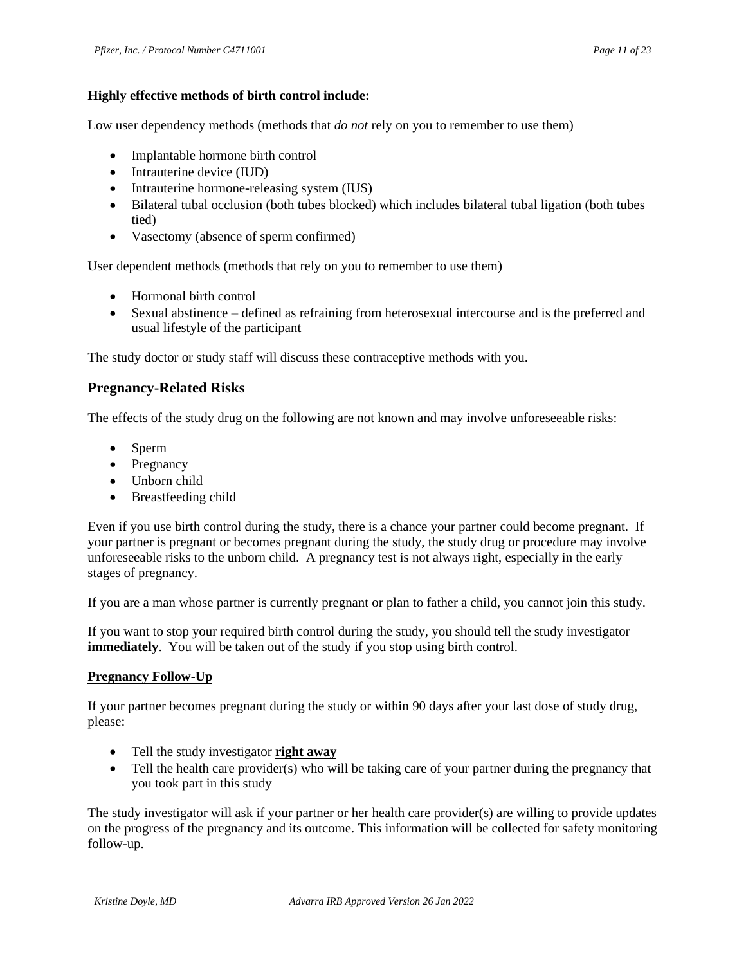### **Highly effective methods of birth control include:**

Low user dependency methods (methods that *do not* rely on you to remember to use them)

- Implantable hormone birth control
- Intrauterine device (IUD)
- Intrauterine hormone-releasing system (IUS)
- Bilateral tubal occlusion (both tubes blocked) which includes bilateral tubal ligation (both tubes tied)
- Vasectomy (absence of sperm confirmed)

User dependent methods (methods that rely on you to remember to use them)

- Hormonal birth control
- Sexual abstinence defined as refraining from heterosexual intercourse and is the preferred and usual lifestyle of the participant

The study doctor or study staff will discuss these contraceptive methods with you.

### **Pregnancy-Related Risks**

The effects of the study drug on the following are not known and may involve unforeseeable risks:

- Sperm
- Pregnancy
- Unborn child
- Breastfeeding child

Even if you use birth control during the study, there is a chance your partner could become pregnant. If your partner is pregnant or becomes pregnant during the study, the study drug or procedure may involve unforeseeable risks to the unborn child. A pregnancy test is not always right, especially in the early stages of pregnancy.

If you are a man whose partner is currently pregnant or plan to father a child, you cannot join this study.

If you want to stop your required birth control during the study, you should tell the study investigator **immediately**. You will be taken out of the study if you stop using birth control.

### **Pregnancy Follow-Up**

If your partner becomes pregnant during the study or within 90 days after your last dose of study drug, please:

- Tell the study investigator **right away**
- Tell the health care provider(s) who will be taking care of your partner during the pregnancy that you took part in this study

The study investigator will ask if your partner or her health care provider(s) are willing to provide updates on the progress of the pregnancy and its outcome. This information will be collected for safety monitoring follow-up.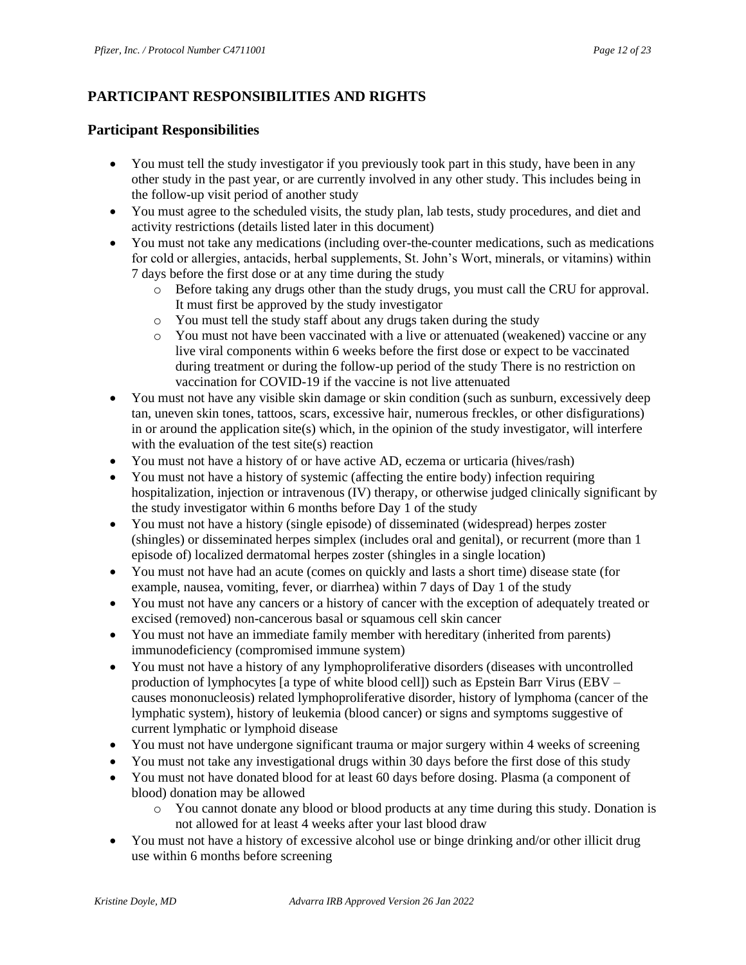# **PARTICIPANT RESPONSIBILITIES AND RIGHTS**

### **Participant Responsibilities**

- You must tell the study investigator if you previously took part in this study, have been in any other study in the past year, or are currently involved in any other study. This includes being in the follow-up visit period of another study
- You must agree to the scheduled visits, the study plan, lab tests, study procedures, and diet and activity restrictions (details listed later in this document)
- You must not take any medications (including over-the-counter medications, such as medications for cold or allergies, antacids, herbal supplements, St. John's Wort, minerals, or vitamins) within 7 days before the first dose or at any time during the study
	- o Before taking any drugs other than the study drugs, you must call the CRU for approval. It must first be approved by the study investigator
	- o You must tell the study staff about any drugs taken during the study
	- o You must not have been vaccinated with a live or attenuated (weakened) vaccine or any live viral components within 6 weeks before the first dose or expect to be vaccinated during treatment or during the follow-up period of the study There is no restriction on vaccination for COVID-19 if the vaccine is not live attenuated
- You must not have any visible skin damage or skin condition (such as sunburn, excessively deep tan, uneven skin tones, tattoos, scars, excessive hair, numerous freckles, or other disfigurations) in or around the application site(s) which, in the opinion of the study investigator, will interfere with the evaluation of the test site(s) reaction
- You must not have a history of or have active AD, eczema or urticaria (hives/rash)
- You must not have a history of systemic (affecting the entire body) infection requiring hospitalization, injection or intravenous (IV) therapy, or otherwise judged clinically significant by the study investigator within 6 months before Day 1 of the study
- You must not have a history (single episode) of disseminated (widespread) herpes zoster (shingles) or disseminated herpes simplex (includes oral and genital), or recurrent (more than 1 episode of) localized dermatomal herpes zoster (shingles in a single location)
- You must not have had an acute (comes on quickly and lasts a short time) disease state (for example, nausea, vomiting, fever, or diarrhea) within 7 days of Day 1 of the study
- You must not have any cancers or a history of cancer with the exception of adequately treated or excised (removed) non-cancerous basal or squamous cell skin cancer
- You must not have an immediate family member with hereditary (inherited from parents) immunodeficiency (compromised immune system)
- You must not have a history of any lymphoproliferative disorders (diseases with uncontrolled production of lymphocytes [a type of white blood cell]) such as Epstein Barr Virus (EBV – causes mononucleosis) related lymphoproliferative disorder, history of lymphoma (cancer of the lymphatic system), history of leukemia (blood cancer) or signs and symptoms suggestive of current lymphatic or lymphoid disease
- You must not have undergone significant trauma or major surgery within 4 weeks of screening
- You must not take any investigational drugs within 30 days before the first dose of this study
- You must not have donated blood for at least 60 days before dosing. Plasma (a component of blood) donation may be allowed
	- o You cannot donate any blood or blood products at any time during this study. Donation is not allowed for at least 4 weeks after your last blood draw
- You must not have a history of excessive alcohol use or binge drinking and/or other illicit drug use within 6 months before screening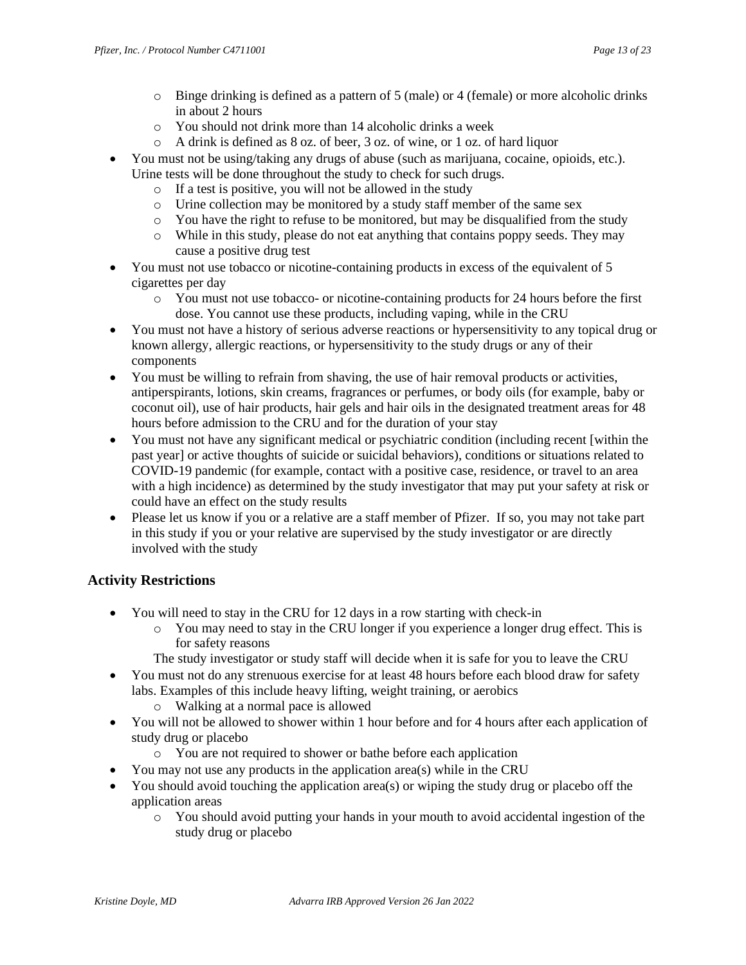- $\circ$  Binge drinking is defined as a pattern of 5 (male) or 4 (female) or more alcoholic drinks in about 2 hours
- o You should not drink more than 14 alcoholic drinks a week
- o A drink is defined as 8 oz. of beer, 3 oz. of wine, or 1 oz. of hard liquor
- You must not be using/taking any drugs of abuse (such as marijuana, cocaine, opioids, etc.). Urine tests will be done throughout the study to check for such drugs.
	- o If a test is positive, you will not be allowed in the study
	- o Urine collection may be monitored by a study staff member of the same sex
	- $\circ$  You have the right to refuse to be monitored, but may be disqualified from the study
	- o While in this study, please do not eat anything that contains poppy seeds. They may cause a positive drug test
- You must not use tobacco or nicotine-containing products in excess of the equivalent of 5 cigarettes per day
	- o You must not use tobacco- or nicotine-containing products for 24 hours before the first dose. You cannot use these products, including vaping, while in the CRU
- You must not have a history of serious adverse reactions or hypersensitivity to any topical drug or known allergy, allergic reactions, or hypersensitivity to the study drugs or any of their components
- You must be willing to refrain from shaving, the use of hair removal products or activities, antiperspirants, lotions, skin creams, fragrances or perfumes, or body oils (for example, baby or coconut oil), use of hair products, hair gels and hair oils in the designated treatment areas for 48 hours before admission to the CRU and for the duration of your stay
- You must not have any significant medical or psychiatric condition (including recent [within the past year] or active thoughts of suicide or suicidal behaviors), conditions or situations related to COVID-19 pandemic (for example, contact with a positive case, residence, or travel to an area with a high incidence) as determined by the study investigator that may put your safety at risk or could have an effect on the study results
- Please let us know if you or a relative are a staff member of Pfizer. If so, you may not take part in this study if you or your relative are supervised by the study investigator or are directly involved with the study

# **Activity Restrictions**

- You will need to stay in the CRU for 12 days in a row starting with check-in
	- o You may need to stay in the CRU longer if you experience a longer drug effect. This is for safety reasons
	- The study investigator or study staff will decide when it is safe for you to leave the CRU
- You must not do any strenuous exercise for at least 48 hours before each blood draw for safety labs. Examples of this include heavy lifting, weight training, or aerobics
	- o Walking at a normal pace is allowed
- You will not be allowed to shower within 1 hour before and for 4 hours after each application of study drug or placebo
	- o You are not required to shower or bathe before each application
- You may not use any products in the application area(s) while in the CRU
- You should avoid touching the application area(s) or wiping the study drug or placebo off the application areas
	- o You should avoid putting your hands in your mouth to avoid accidental ingestion of the study drug or placebo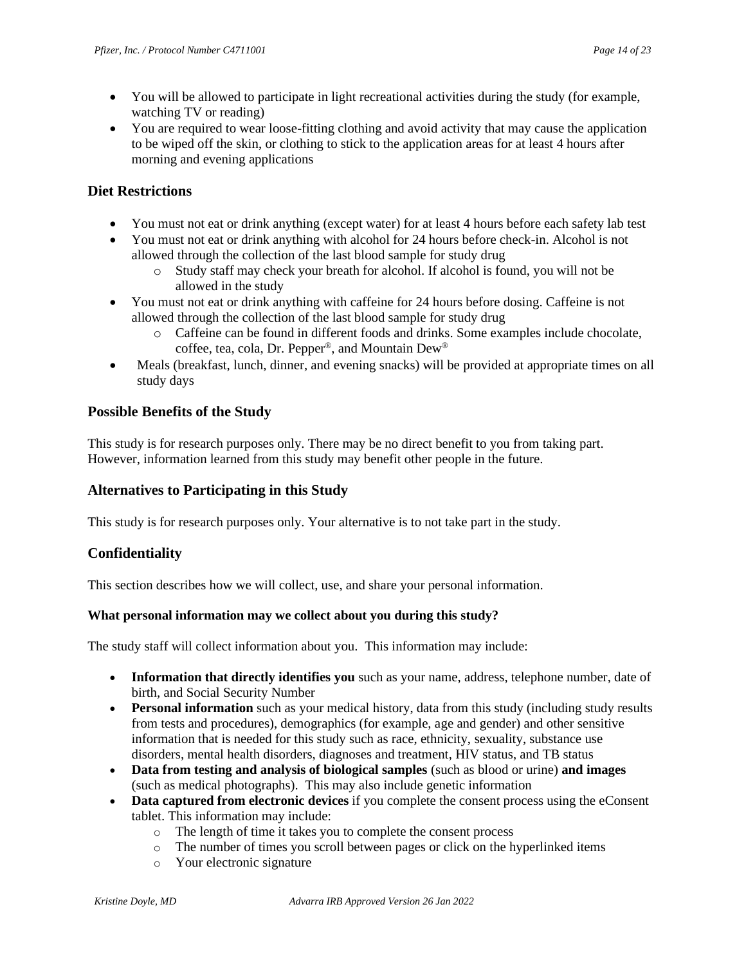- You will be allowed to participate in light recreational activities during the study (for example, watching TV or reading)
- You are required to wear loose-fitting clothing and avoid activity that may cause the application to be wiped off the skin, or clothing to stick to the application areas for at least 4 hours after morning and evening applications

### **Diet Restrictions**

- You must not eat or drink anything (except water) for at least 4 hours before each safety lab test
- You must not eat or drink anything with alcohol for 24 hours before check-in. Alcohol is not allowed through the collection of the last blood sample for study drug
	- o Study staff may check your breath for alcohol. If alcohol is found, you will not be allowed in the study
- You must not eat or drink anything with caffeine for 24 hours before dosing. Caffeine is not allowed through the collection of the last blood sample for study drug
	- o Caffeine can be found in different foods and drinks. Some examples include chocolate, coffee, tea, cola, Dr. Pepper®, and Mountain Dew®
- Meals (breakfast, lunch, dinner, and evening snacks) will be provided at appropriate times on all study days

### **Possible Benefits of the Study**

This study is for research purposes only. There may be no direct benefit to you from taking part. However, information learned from this study may benefit other people in the future.

### **Alternatives to Participating in this Study**

This study is for research purposes only. Your alternative is to not take part in the study.

# **Confidentiality**

This section describes how we will collect, use, and share your personal information.

#### **What personal information may we collect about you during this study?**

The study staff will collect information about you. This information may include:

- **Information that directly identifies you** such as your name, address, telephone number, date of birth, and Social Security Number
- **Personal information** such as your medical history, data from this study (including study results from tests and procedures), demographics (for example, age and gender) and other sensitive information that is needed for this study such as race, ethnicity, sexuality, substance use disorders, mental health disorders, diagnoses and treatment, HIV status, and TB status
- **Data from testing and analysis of biological samples** (such as blood or urine) **and images** (such as medical photographs). This may also include genetic information
- **Data captured from electronic devices** if you complete the consent process using the eConsent tablet. This information may include:
	- o The length of time it takes you to complete the consent process
	- o The number of times you scroll between pages or click on the hyperlinked items
	- o Your electronic signature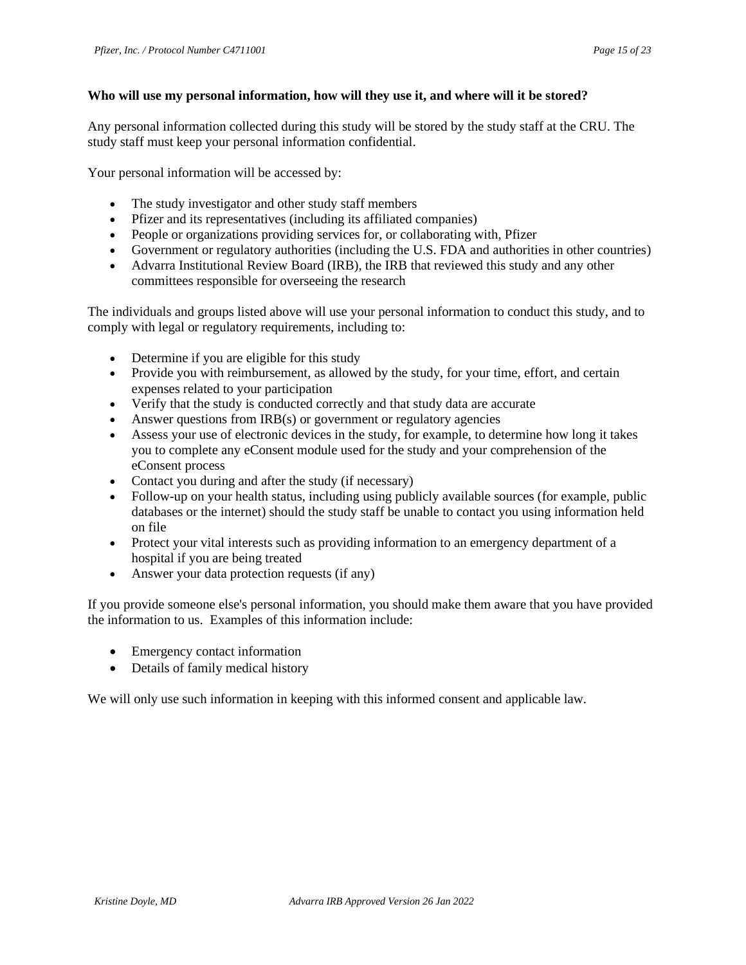#### **Who will use my personal information, how will they use it, and where will it be stored?**

Any personal information collected during this study will be stored by the study staff at the CRU. The study staff must keep your personal information confidential.

Your personal information will be accessed by:

- The study investigator and other study staff members
- Pfizer and its representatives (including its affiliated companies)
- People or organizations providing services for, or collaborating with, Pfizer
- Government or regulatory authorities (including the U.S. FDA and authorities in other countries)
- Advarra Institutional Review Board (IRB), the IRB that reviewed this study and any other committees responsible for overseeing the research

The individuals and groups listed above will use your personal information to conduct this study, and to comply with legal or regulatory requirements, including to:

- Determine if you are eligible for this study
- Provide you with reimbursement, as allowed by the study, for your time, effort, and certain expenses related to your participation
- Verify that the study is conducted correctly and that study data are accurate
- Answer questions from IRB(s) or government or regulatory agencies
- Assess your use of electronic devices in the study, for example, to determine how long it takes you to complete any eConsent module used for the study and your comprehension of the eConsent process
- Contact you during and after the study (if necessary)
- Follow-up on your health status, including using publicly available sources (for example, public databases or the internet) should the study staff be unable to contact you using information held on file
- Protect your vital interests such as providing information to an emergency department of a hospital if you are being treated
- Answer your data protection requests (if any)

If you provide someone else's personal information, you should make them aware that you have provided the information to us. Examples of this information include:

- Emergency contact information
- Details of family medical history

We will only use such information in keeping with this informed consent and applicable law.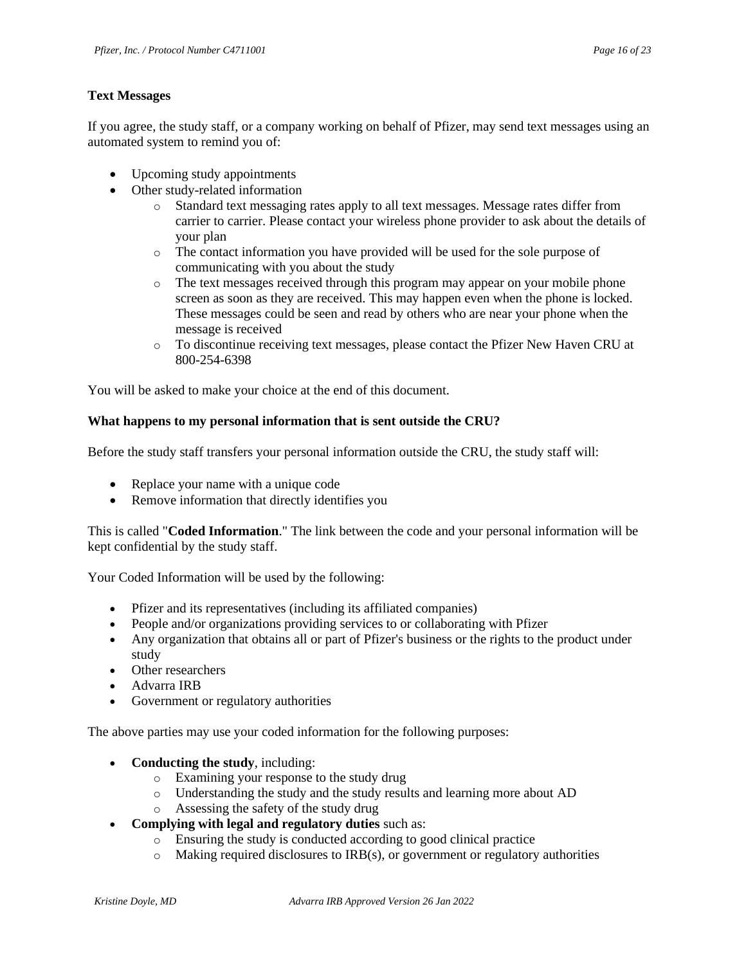#### **Text Messages**

If you agree, the study staff, or a company working on behalf of Pfizer, may send text messages using an automated system to remind you of:

- Upcoming study appointments
- Other study-related information
	- o Standard text messaging rates apply to all text messages. Message rates differ from carrier to carrier. Please contact your wireless phone provider to ask about the details of your plan
	- o The contact information you have provided will be used for the sole purpose of communicating with you about the study
	- o The text messages received through this program may appear on your mobile phone screen as soon as they are received. This may happen even when the phone is locked. These messages could be seen and read by others who are near your phone when the message is received
	- o To discontinue receiving text messages, please contact the Pfizer New Haven CRU at 800-254-6398

You will be asked to make your choice at the end of this document.

#### **What happens to my personal information that is sent outside the CRU?**

Before the study staff transfers your personal information outside the CRU, the study staff will:

- Replace your name with a unique code
- Remove information that directly identifies you

This is called "**Coded Information**." The link between the code and your personal information will be kept confidential by the study staff.

Your Coded Information will be used by the following:

- Pfizer and its representatives (including its affiliated companies)
- People and/or organizations providing services to or collaborating with Pfizer
- Any organization that obtains all or part of Pfizer's business or the rights to the product under study
- Other researchers
- Advarra IRB
- Government or regulatory authorities

The above parties may use your coded information for the following purposes:

- **Conducting the study**, including:
	- o Examining your response to the study drug
	- o Understanding the study and the study results and learning more about AD
	- o Assessing the safety of the study drug
- **Complying with legal and regulatory duties** such as:
	- o Ensuring the study is conducted according to good clinical practice
	- $\circ$  Making required disclosures to IRB(s), or government or regulatory authorities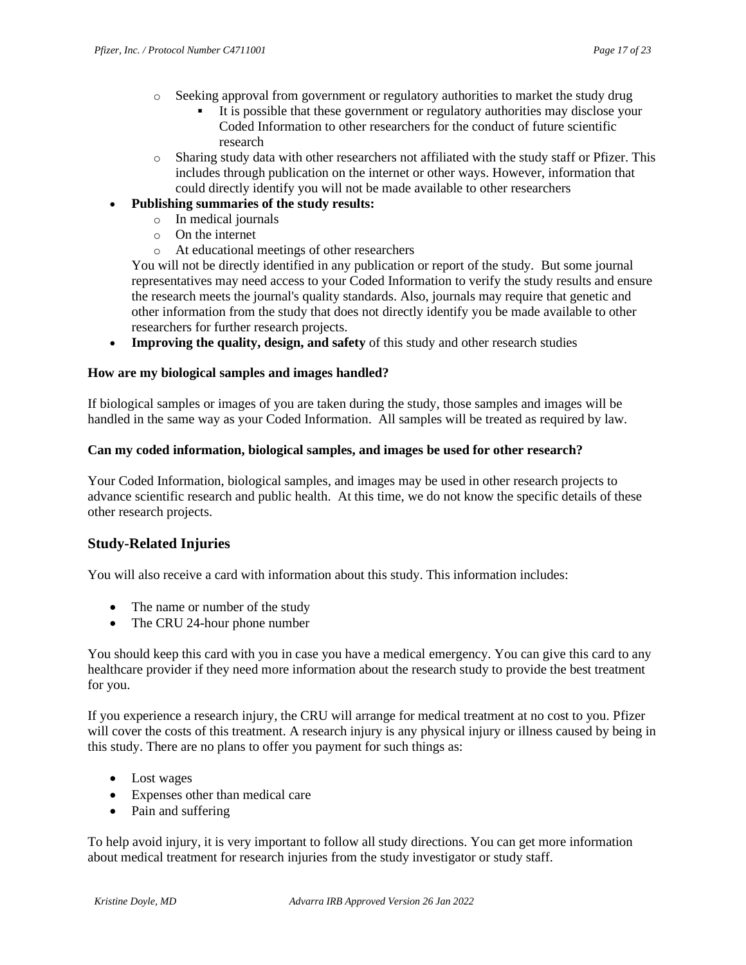- o Seeking approval from government or regulatory authorities to market the study drug
	- It is possible that these government or regulatory authorities may disclose your Coded Information to other researchers for the conduct of future scientific research
- o Sharing study data with other researchers not affiliated with the study staff or Pfizer. This includes through publication on the internet or other ways. However, information that could directly identify you will not be made available to other researchers

#### • **Publishing summaries of the study results:**

- o In medical journals
- o On the internet
- o At educational meetings of other researchers

You will not be directly identified in any publication or report of the study. But some journal representatives may need access to your Coded Information to verify the study results and ensure the research meets the journal's quality standards. Also, journals may require that genetic and other information from the study that does not directly identify you be made available to other researchers for further research projects.

• **Improving the quality, design, and safety** of this study and other research studies

#### **How are my biological samples and images handled?**

If biological samples or images of you are taken during the study, those samples and images will be handled in the same way as your Coded Information. All samples will be treated as required by law.

#### **Can my coded information, biological samples, and images be used for other research?**

Your Coded Information, biological samples, and images may be used in other research projects to advance scientific research and public health. At this time, we do not know the specific details of these other research projects.

### **Study-Related Injuries**

You will also receive a card with information about this study. This information includes:

- The name or number of the study
- The CRU 24-hour phone number

You should keep this card with you in case you have a medical emergency. You can give this card to any healthcare provider if they need more information about the research study to provide the best treatment for you.

If you experience a research injury, the CRU will arrange for medical treatment at no cost to you. Pfizer will cover the costs of this treatment. A research injury is any physical injury or illness caused by being in this study. There are no plans to offer you payment for such things as:

- Lost wages
- Expenses other than medical care
- Pain and suffering

To help avoid injury, it is very important to follow all study directions. You can get more information about medical treatment for research injuries from the study investigator or study staff.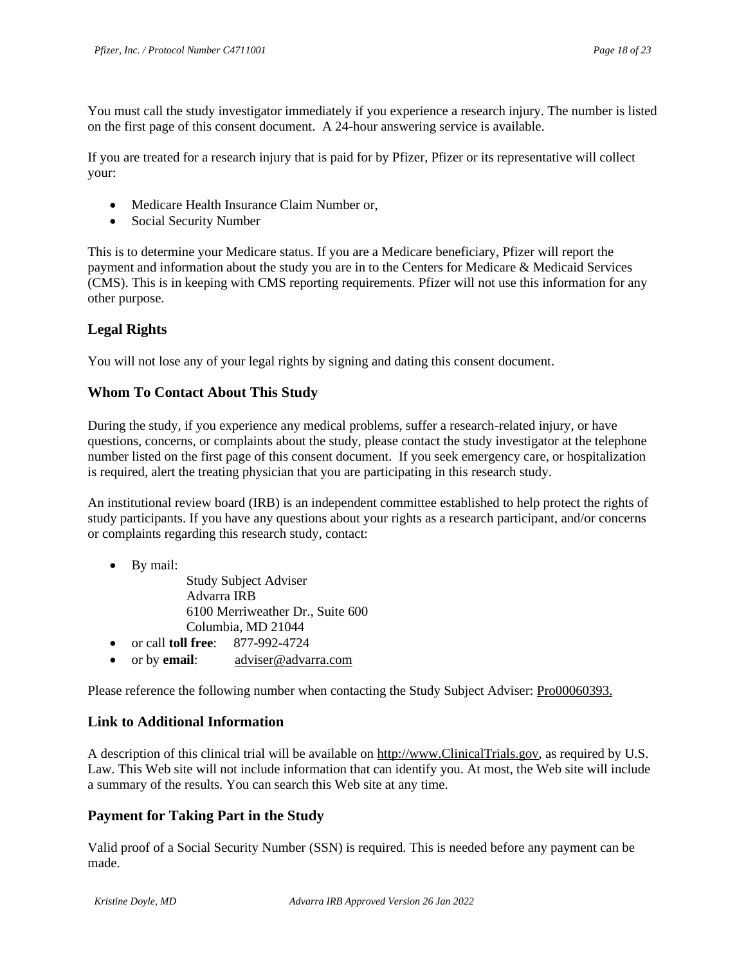You must call the study investigator immediately if you experience a research injury. The number is listed on the first page of this consent document. A 24-hour answering service is available.

If you are treated for a research injury that is paid for by Pfizer, Pfizer or its representative will collect your:

- Medicare Health Insurance Claim Number or,
- Social Security Number

This is to determine your Medicare status. If you are a Medicare beneficiary, Pfizer will report the payment and information about the study you are in to the Centers for Medicare & Medicaid Services (CMS). This is in keeping with CMS reporting requirements. Pfizer will not use this information for any other purpose.

### **Legal Rights**

You will not lose any of your legal rights by signing and dating this consent document.

### **Whom To Contact About This Study**

During the study, if you experience any medical problems, suffer a research-related injury, or have questions, concerns, or complaints about the study, please contact the study investigator at the telephone number listed on the first page of this consent document. If you seek emergency care, or hospitalization is required, alert the treating physician that you are participating in this research study.

An institutional review board (IRB) is an independent committee established to help protect the rights of study participants. If you have any questions about your rights as a research participant, and/or concerns or complaints regarding this research study, contact:

• By mail:

Study Subject Adviser Advarra IRB 6100 Merriweather Dr., Suite 600 Columbia, MD 21044

- or call **toll free**: 877-992-4724
- or by **email**: [adviser@advarra.com](mailto:adviser@advarra.com)

Please reference the following number when contacting the Study Subject Adviser: Pro00060393.

### **Link to Additional Information**

A description of this clinical trial will be available on [http://www.ClinicalTrials.gov,](http://www.clinicaltrials.gov/) as required by U.S. Law. This Web site will not include information that can identify you. At most, the Web site will include a summary of the results. You can search this Web site at any time.

### **Payment for Taking Part in the Study**

Valid proof of a Social Security Number (SSN) is required. This is needed before any payment can be made.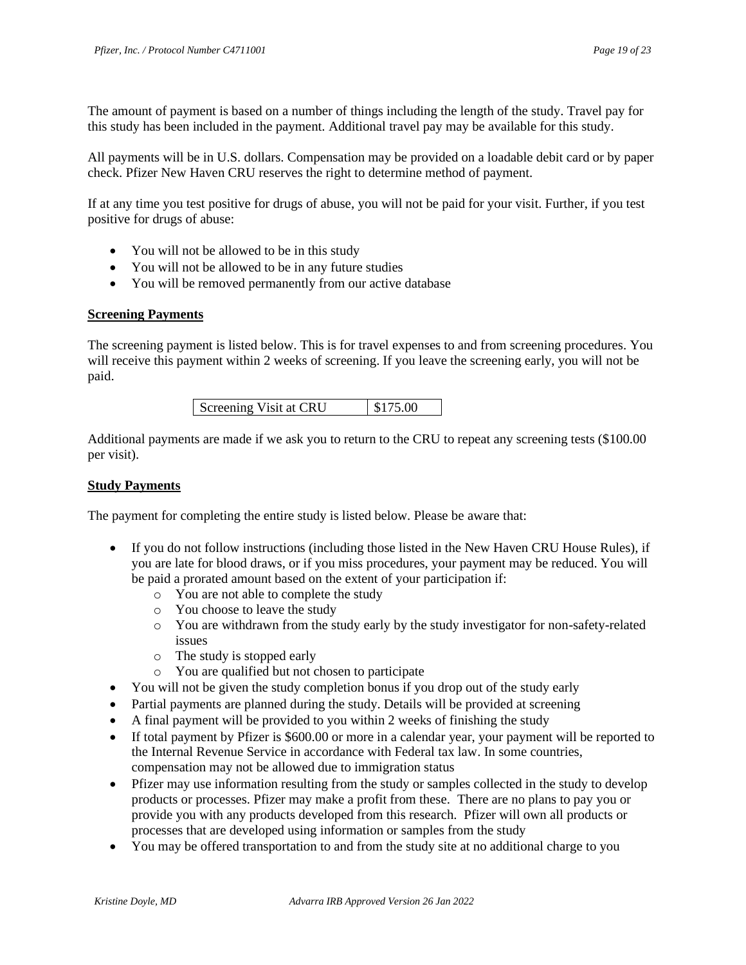The amount of payment is based on a number of things including the length of the study. Travel pay for this study has been included in the payment. Additional travel pay may be available for this study.

All payments will be in U.S. dollars. Compensation may be provided on a loadable debit card or by paper check. Pfizer New Haven CRU reserves the right to determine method of payment.

If at any time you test positive for drugs of abuse, you will not be paid for your visit. Further, if you test positive for drugs of abuse:

- You will not be allowed to be in this study
- You will not be allowed to be in any future studies
- You will be removed permanently from our active database

#### **Screening Payments**

The screening payment is listed below. This is for travel expenses to and from screening procedures. You will receive this payment within 2 weeks of screening. If you leave the screening early, you will not be paid.

| Screening Visit at CRU | \$175.00 |
|------------------------|----------|
|                        |          |

Additional payments are made if we ask you to return to the CRU to repeat any screening tests (\$100.00 per visit).

#### **Study Payments**

The payment for completing the entire study is listed below. Please be aware that:

- If you do not follow instructions (including those listed in the New Haven CRU House Rules), if you are late for blood draws, or if you miss procedures, your payment may be reduced. You will be paid a prorated amount based on the extent of your participation if:
	- o You are not able to complete the study
	- o You choose to leave the study
	- o You are withdrawn from the study early by the study investigator for non-safety-related issues
	- o The study is stopped early
	- o You are qualified but not chosen to participate
- You will not be given the study completion bonus if you drop out of the study early
- Partial payments are planned during the study. Details will be provided at screening
- A final payment will be provided to you within 2 weeks of finishing the study
- If total payment by Pfizer is \$600.00 or more in a calendar year, your payment will be reported to the Internal Revenue Service in accordance with Federal tax law. In some countries, compensation may not be allowed due to immigration status
- Pfizer may use information resulting from the study or samples collected in the study to develop products or processes. Pfizer may make a profit from these. There are no plans to pay you or provide you with any products developed from this research. Pfizer will own all products or processes that are developed using information or samples from the study
- You may be offered transportation to and from the study site at no additional charge to you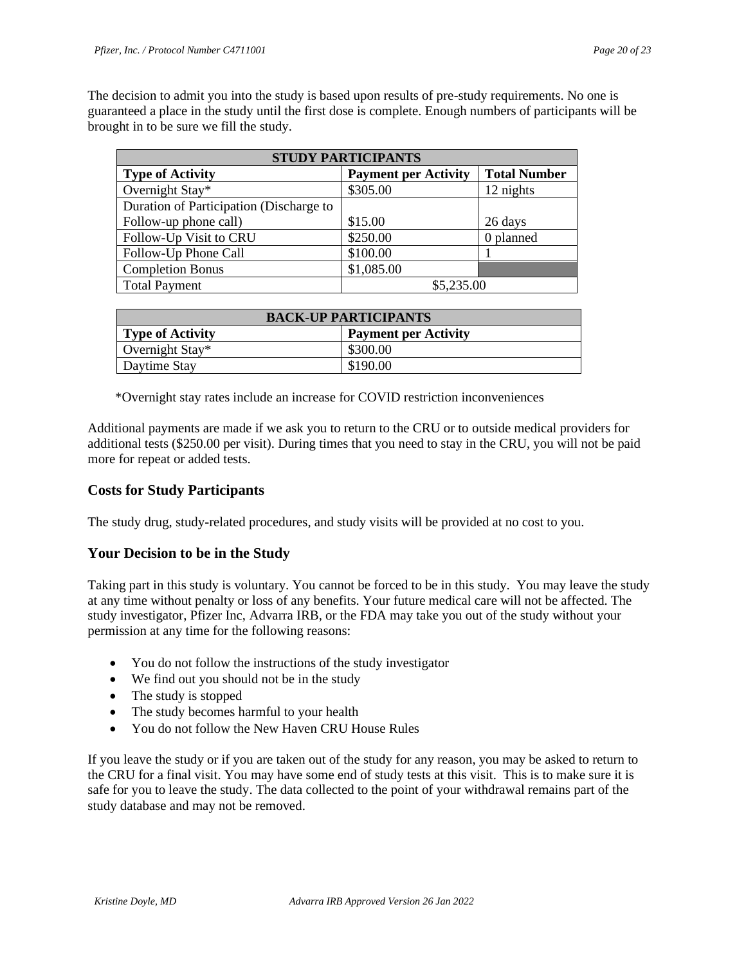The decision to admit you into the study is based upon results of pre-study requirements. No one is guaranteed a place in the study until the first dose is complete. Enough numbers of participants will be brought in to be sure we fill the study.

| <b>STUDY PARTICIPANTS</b>               |                             |                     |  |  |
|-----------------------------------------|-----------------------------|---------------------|--|--|
| <b>Type of Activity</b>                 | <b>Payment per Activity</b> | <b>Total Number</b> |  |  |
| Overnight Stay*                         | \$305.00                    | 12 nights           |  |  |
| Duration of Participation (Discharge to |                             |                     |  |  |
| Follow-up phone call)                   | \$15.00                     | 26 days             |  |  |
| Follow-Up Visit to CRU                  | \$250.00                    | 0 planned           |  |  |
| Follow-Up Phone Call                    | \$100.00                    |                     |  |  |
| <b>Completion Bonus</b>                 | \$1,085.00                  |                     |  |  |
| <b>Total Payment</b>                    | \$5,235.00                  |                     |  |  |

| <b>BACK-UP PARTICIPANTS</b> |                             |  |  |  |
|-----------------------------|-----------------------------|--|--|--|
| <b>Type of Activity</b>     | <b>Payment per Activity</b> |  |  |  |
| Overnight Stay*             | \$300.00                    |  |  |  |
| Daytime Stay                | \$190.00                    |  |  |  |

\*Overnight stay rates include an increase for COVID restriction inconveniences

Additional payments are made if we ask you to return to the CRU or to outside medical providers for additional tests (\$250.00 per visit). During times that you need to stay in the CRU, you will not be paid more for repeat or added tests.

### **Costs for Study Participants**

The study drug, study-related procedures, and study visits will be provided at no cost to you.

### **Your Decision to be in the Study**

Taking part in this study is voluntary. You cannot be forced to be in this study. You may leave the study at any time without penalty or loss of any benefits. Your future medical care will not be affected. The study investigator, Pfizer Inc, Advarra IRB, or the FDA may take you out of the study without your permission at any time for the following reasons:

- You do not follow the instructions of the study investigator
- We find out you should not be in the study
- The study is stopped
- The study becomes harmful to your health
- You do not follow the New Haven CRU House Rules

If you leave the study or if you are taken out of the study for any reason, you may be asked to return to the CRU for a final visit. You may have some end of study tests at this visit. This is to make sure it is safe for you to leave the study. The data collected to the point of your withdrawal remains part of the study database and may not be removed.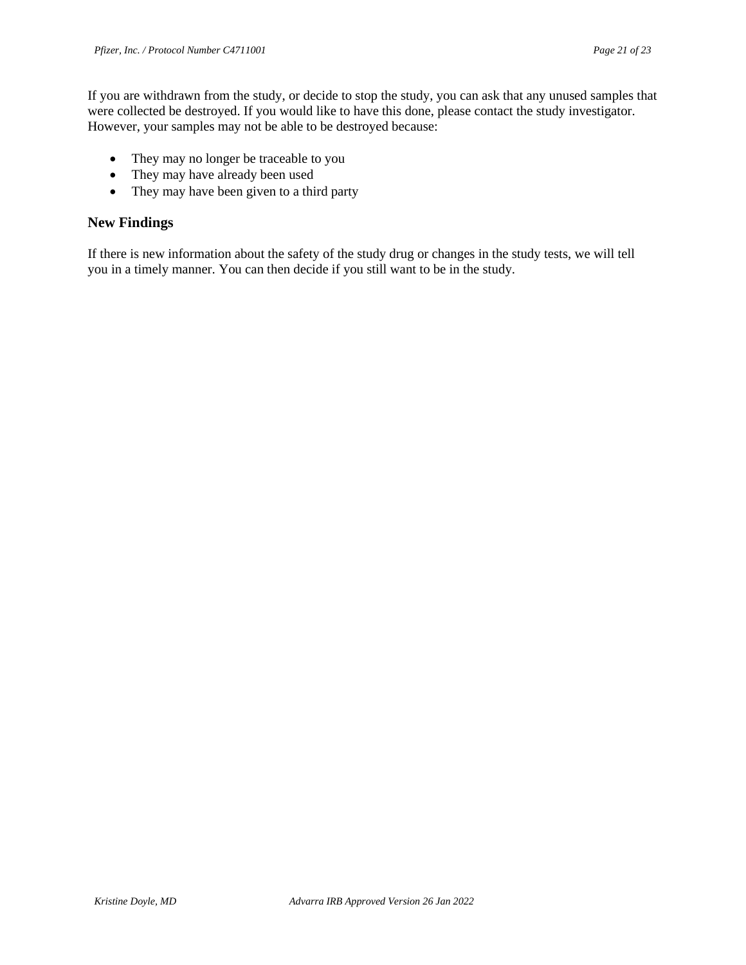If you are withdrawn from the study, or decide to stop the study, you can ask that any unused samples that were collected be destroyed. If you would like to have this done, please contact the study investigator. However, your samples may not be able to be destroyed because:

- They may no longer be traceable to you
- They may have already been used
- They may have been given to a third party

### **New Findings**

If there is new information about the safety of the study drug or changes in the study tests, we will tell you in a timely manner. You can then decide if you still want to be in the study.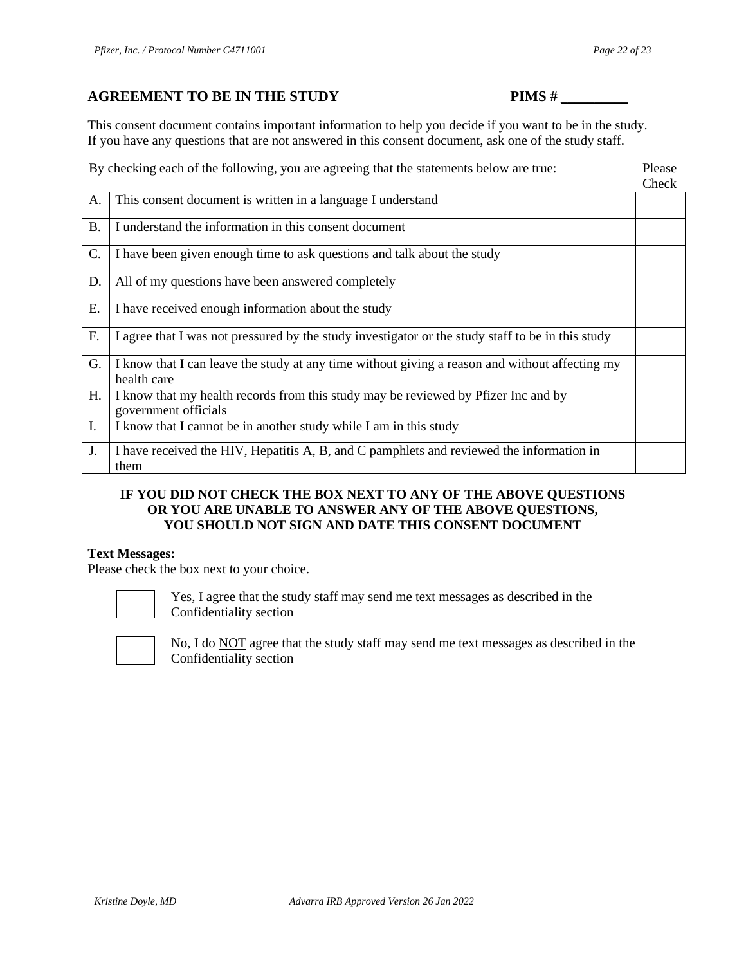This consent document contains important information to help you decide if you want to be in the study. If you have any questions that are not answered in this consent document, ask one of the study staff.

By checking each of the following, you are agreeing that the statements below are true: Please

|           |                                                                                                               | <b>UILUN</b> |
|-----------|---------------------------------------------------------------------------------------------------------------|--------------|
| A.        | This consent document is written in a language I understand                                                   |              |
| <b>B.</b> | I understand the information in this consent document                                                         |              |
| C.        | I have been given enough time to ask questions and talk about the study                                       |              |
| D.        | All of my questions have been answered completely                                                             |              |
| E.        | I have received enough information about the study                                                            |              |
| F.        | I agree that I was not pressured by the study investigator or the study staff to be in this study             |              |
| G.        | I know that I can leave the study at any time without giving a reason and without affecting my<br>health care |              |
| H.        | I know that my health records from this study may be reviewed by Pfizer Inc and by<br>government officials    |              |
| I.        | I know that I cannot be in another study while I am in this study                                             |              |
| J.        | I have received the HIV, Hepatitis A, B, and C pamphlets and reviewed the information in<br>them              |              |

#### **IF YOU DID NOT CHECK THE BOX NEXT TO ANY OF THE ABOVE QUESTIONS OR YOU ARE UNABLE TO ANSWER ANY OF THE ABOVE QUESTIONS, YOU SHOULD NOT SIGN AND DATE THIS CONSENT DOCUMENT**

#### **Text Messages:**

Please check the box next to your choice.



Yes, I agree that the study staff may send me text messages as described in the Confidentiality section



No, I do NOT agree that the study staff may send me text messages as described in the Confidentiality section

Check